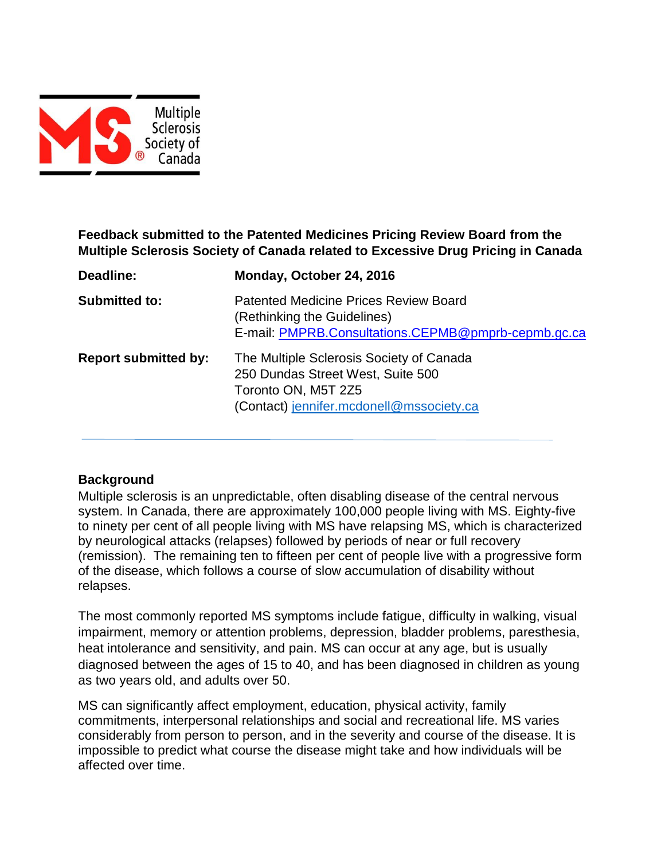

# **Feedback submitted to the Patented Medicines Pricing Review Board from the Multiple Sclerosis Society of Canada related to Excessive Drug Pricing in Canada**

| Deadline:                   | Monday, October 24, 2016                                                                                                                         |
|-----------------------------|--------------------------------------------------------------------------------------------------------------------------------------------------|
| <b>Submitted to:</b>        | <b>Patented Medicine Prices Review Board</b><br>(Rethinking the Guidelines)<br>E-mail: PMPRB.Consultations.CEPMB@pmprb-cepmb.gc.ca               |
| <b>Report submitted by:</b> | The Multiple Sclerosis Society of Canada<br>250 Dundas Street West, Suite 500<br>Toronto ON, M5T 2Z5<br>(Contact) jennifer.mcdonell@mssociety.ca |

### **Background**

Multiple sclerosis is an unpredictable, often disabling disease of the central nervous system. In Canada, there are approximately 100,000 people living with MS. Eighty-five to ninety per cent of all people living with MS have relapsing MS, which is characterized by neurological attacks (relapses) followed by periods of near or full recovery (remission). The remaining ten to fifteen per cent of people live with a progressive form of the disease, which follows a course of slow accumulation of disability without relapses.

The most commonly reported MS symptoms include fatigue, difficulty in walking, visual impairment, memory or attention problems, depression, bladder problems, paresthesia, heat intolerance and sensitivity, and pain. MS can occur at any age, but is usually diagnosed between the ages of 15 to 40, and has been diagnosed in children as young as two years old, and adults over 50.

MS can significantly affect employment, education, physical activity, family commitments, interpersonal relationships and social and recreational life. MS varies considerably from person to person, and in the severity and course of the disease. It is impossible to predict what course the disease might take and how individuals will be affected over time.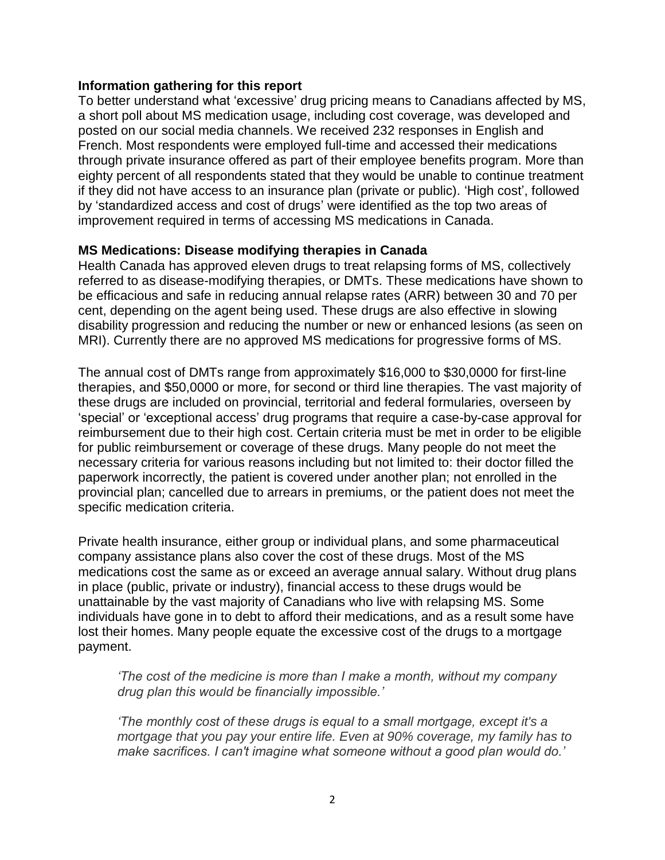#### **Information gathering for this report**

To better understand what 'excessive' drug pricing means to Canadians affected by MS, a short poll about MS medication usage, including cost coverage, was developed and posted on our social media channels. We received 232 responses in English and French. Most respondents were employed full-time and accessed their medications through private insurance offered as part of their employee benefits program. More than eighty percent of all respondents stated that they would be unable to continue treatment if they did not have access to an insurance plan (private or public). 'High cost', followed by 'standardized access and cost of drugs' were identified as the top two areas of improvement required in terms of accessing MS medications in Canada.

### **MS Medications: Disease modifying therapies in Canada**

Health Canada has approved eleven drugs to treat relapsing forms of MS, collectively referred to as disease-modifying therapies, or DMTs. These medications have shown to be efficacious and safe in reducing annual relapse rates (ARR) between 30 and 70 per cent, depending on the agent being used. These drugs are also effective in slowing disability progression and reducing the number or new or enhanced lesions (as seen on MRI). Currently there are no approved MS medications for progressive forms of MS.

The annual cost of DMTs range from approximately \$16,000 to \$30,0000 for first-line therapies, and \$50,0000 or more, for second or third line therapies. The vast majority of these drugs are included on provincial, territorial and federal formularies, overseen by 'special' or 'exceptional access' drug programs that require a case-by-case approval for reimbursement due to their high cost. Certain criteria must be met in order to be eligible for public reimbursement or coverage of these drugs. Many people do not meet the necessary criteria for various reasons including but not limited to: their doctor filled the paperwork incorrectly, the patient is covered under another plan; not enrolled in the provincial plan; cancelled due to arrears in premiums, or the patient does not meet the specific medication criteria.

Private health insurance, either group or individual plans, and some pharmaceutical company assistance plans also cover the cost of these drugs. Most of the MS medications cost the same as or exceed an average annual salary. Without drug plans in place (public, private or industry), financial access to these drugs would be unattainable by the vast majority of Canadians who live with relapsing MS. Some individuals have gone in to debt to afford their medications, and as a result some have lost their homes. Many people equate the excessive cost of the drugs to a mortgage payment.

*'The cost of the medicine is more than I make a month, without my company drug plan this would be financially impossible.'*

*'The monthly cost of these drugs is equal to a small mortgage, except it's a mortgage that you pay your entire life. Even at 90% coverage, my family has to make sacrifices. I can't imagine what someone without a good plan would do.'*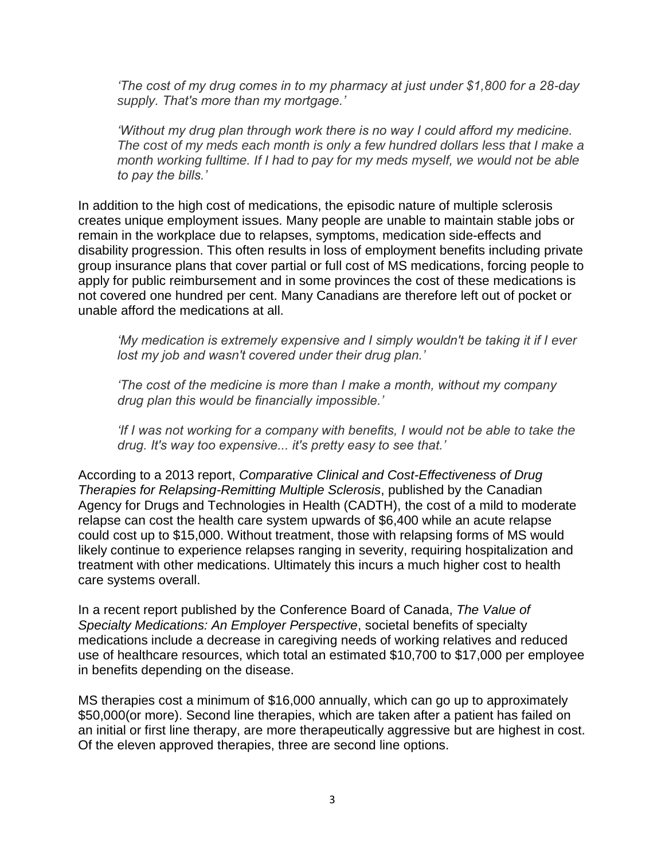*'The cost of my drug comes in to my pharmacy at just under \$1,800 for a 28-day supply. That's more than my mortgage.'*

*'Without my drug plan through work there is no way I could afford my medicine. The cost of my meds each month is only a few hundred dollars less that I make a month working fulltime. If I had to pay for my meds myself, we would not be able to pay the bills.'*

In addition to the high cost of medications, the episodic nature of multiple sclerosis creates unique employment issues. Many people are unable to maintain stable jobs or remain in the workplace due to relapses, symptoms, medication side-effects and disability progression. This often results in loss of employment benefits including private group insurance plans that cover partial or full cost of MS medications, forcing people to apply for public reimbursement and in some provinces the cost of these medications is not covered one hundred per cent. Many Canadians are therefore left out of pocket or unable afford the medications at all.

*'My medication is extremely expensive and I simply wouldn't be taking it if I ever lost my job and wasn't covered under their drug plan.'*

*'The cost of the medicine is more than I make a month, without my company drug plan this would be financially impossible.'*

*If I was not working for a company with benefits, I would not be able to take the drug. It's way too expensive... it's pretty easy to see that.'*

According to a 2013 report, *Comparative Clinical and Cost-Effectiveness of Drug Therapies for Relapsing-Remitting Multiple Sclerosis*, published by the Canadian Agency for Drugs and Technologies in Health (CADTH), the cost of a mild to moderate relapse can cost the health care system upwards of \$6,400 while an acute relapse could cost up to \$15,000. Without treatment, those with relapsing forms of MS would likely continue to experience relapses ranging in severity, requiring hospitalization and treatment with other medications. Ultimately this incurs a much higher cost to health care systems overall.

In a recent report published by the Conference Board of Canada, *The Value of Specialty Medications: An Employer Perspective*, societal benefits of specialty medications include a decrease in caregiving needs of working relatives and reduced use of healthcare resources, which total an estimated \$10,700 to \$17,000 per employee in benefits depending on the disease.

MS therapies cost a minimum of \$16,000 annually, which can go up to approximately \$50,000(or more). Second line therapies, which are taken after a patient has failed on an initial or first line therapy, are more therapeutically aggressive but are highest in cost. Of the eleven approved therapies, three are second line options.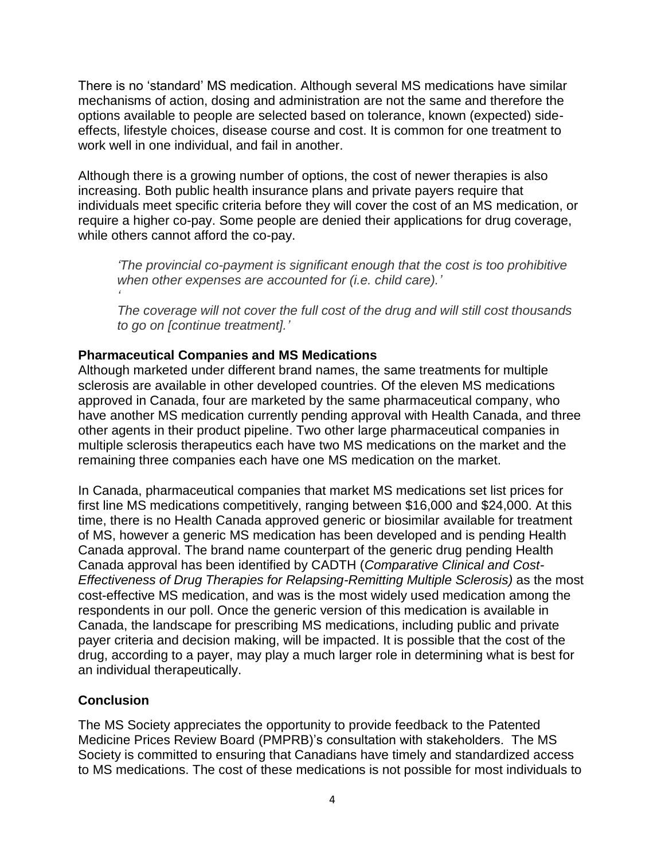There is no 'standard' MS medication. Although several MS medications have similar mechanisms of action, dosing and administration are not the same and therefore the options available to people are selected based on tolerance, known (expected) sideeffects, lifestyle choices, disease course and cost. It is common for one treatment to work well in one individual, and fail in another.

Although there is a growing number of options, the cost of newer therapies is also increasing. Both public health insurance plans and private payers require that individuals meet specific criteria before they will cover the cost of an MS medication, or require a higher co-pay. Some people are denied their applications for drug coverage, while others cannot afford the co-pay.

*'The provincial co-payment is significant enough that the cost is too prohibitive when other expenses are accounted for (i.e. child care).'*

*The coverage will not cover the full cost of the drug and will still cost thousands to go on [continue treatment].'*

## **Pharmaceutical Companies and MS Medications**

Although marketed under different brand names, the same treatments for multiple sclerosis are available in other developed countries. Of the eleven MS medications approved in Canada, four are marketed by the same pharmaceutical company, who have another MS medication currently pending approval with Health Canada, and three other agents in their product pipeline. Two other large pharmaceutical companies in multiple sclerosis therapeutics each have two MS medications on the market and the remaining three companies each have one MS medication on the market.

In Canada, pharmaceutical companies that market MS medications set list prices for first line MS medications competitively, ranging between \$16,000 and \$24,000. At this time, there is no Health Canada approved generic or biosimilar available for treatment of MS, however a generic MS medication has been developed and is pending Health Canada approval. The brand name counterpart of the generic drug pending Health Canada approval has been identified by CADTH (*Comparative Clinical and Cost-Effectiveness of Drug Therapies for Relapsing-Remitting Multiple Sclerosis)* as the most cost-effective MS medication, and was is the most widely used medication among the respondents in our poll. Once the generic version of this medication is available in Canada, the landscape for prescribing MS medications, including public and private payer criteria and decision making, will be impacted. It is possible that the cost of the drug, according to a payer, may play a much larger role in determining what is best for an individual therapeutically.

# **Conclusion**

*'*

The MS Society appreciates the opportunity to provide feedback to the Patented Medicine Prices Review Board (PMPRB)'s consultation with stakeholders. The MS Society is committed to ensuring that Canadians have timely and standardized access to MS medications. The cost of these medications is not possible for most individuals to